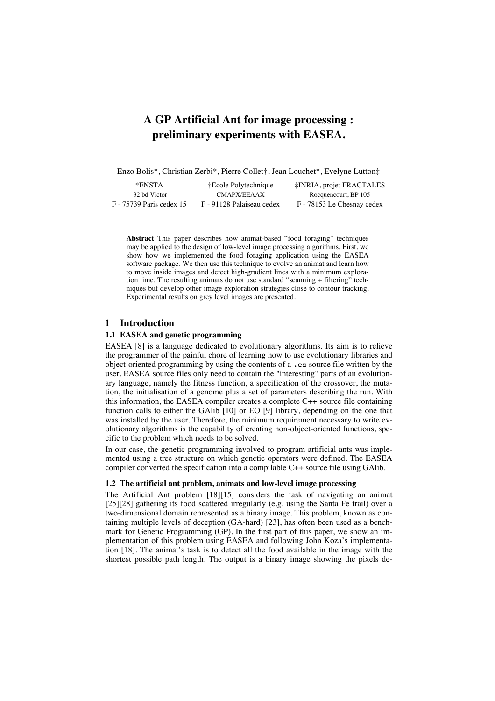### **A GP Artificial Ant for image processing : preliminary experiments with EASEA.**

Enzo Bolis\*, Christian Zerbi\*, Pierre Collet†, Jean Louchet\*, Evelyne Lutton‡

| *ENSTA                   | †Ecole Polytechnique      | ‡INRIA, projet FRACTALES   |
|--------------------------|---------------------------|----------------------------|
| 32 bd Victor             | CMAPX/EEAAX               | Rocquencourt, BP 105       |
| F - 75739 Paris cedex 15 | F - 91128 Palaiseau cedex | F - 78153 Le Chesnay cedex |

**Abstract** This paper describes how animat-based "food foraging" techniques may be applied to the design of low-level image processing algorithms. First, we show how we implemented the food foraging application using the EASEA software package. We then use this technique to evolve an animat and learn how to move inside images and detect high-gradient lines with a minimum exploration time. The resulting animats do not use standard "scanning + filtering" techniques but develop other image exploration strategies close to contour tracking. Experimental results on grey level images are presented.

#### **1 Introduction**

#### **1.1 EASEA and genetic programming**

EASEA [8] is a language dedicated to evolutionary algorithms. Its aim is to relieve the programmer of the painful chore of learning how to use evolutionary libraries and object-oriented programming by using the contents of a .ez source file written by the user. EASEA source files only need to contain the "interesting" parts of an evolutionary language, namely the fitness function, a specification of the crossover, the mutation, the initialisation of a genome plus a set of parameters describing the run. With this information, the EASEA compiler creates a complete C++ source file containing function calls to either the GAlib [10] or EO [9] library, depending on the one that was installed by the user. Therefore, the minimum requirement necessary to write evolutionary algorithms is the capability of creating non-object-oriented functions, specific to the problem which needs to be solved.

In our case, the genetic programming involved to program artificial ants was implemented using a tree structure on which genetic operators were defined. The EASEA compiler converted the specification into a compilable C++ source file using GAlib.

#### **1.2 The artificial ant problem, animats and low-level image processing**

The Artificial Ant problem [18][15] considers the task of navigating an animat [25][28] gathering its food scattered irregularly (e.g. using the Santa Fe trail) over a two-dimensional domain represented as a binary image. This problem, known as containing multiple levels of deception (GA-hard) [23], has often been used as a benchmark for Genetic Programming (GP). In the first part of this paper, we show an implementation of this problem using EASEA and following John Koza's implementation [18]. The animat's task is to detect all the food available in the image with the shortest possible path length. The output is a binary image showing the pixels de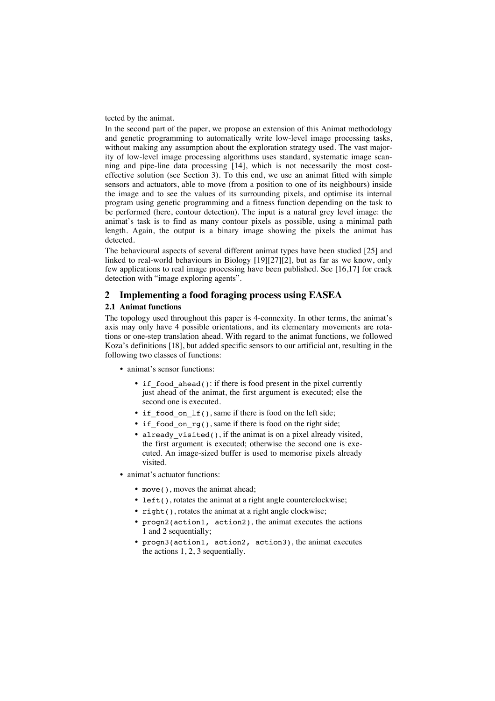tected by the animat.

In the second part of the paper, we propose an extension of this Animat methodology and genetic programming to automatically write low-level image processing tasks, without making any assumption about the exploration strategy used. The vast majority of low-level image processing algorithms uses standard, systematic image scanning and pipe-line data processing [14], which is not necessarily the most costeffective solution (see Section 3). To this end, we use an animat fitted with simple sensors and actuators, able to move (from a position to one of its neighbours) inside the image and to see the values of its surrounding pixels, and optimise its internal program using genetic programming and a fitness function depending on the task to be performed (here, contour detection). The input is a natural grey level image: the animat's task is to find as many contour pixels as possible, using a minimal path length. Again, the output is a binary image showing the pixels the animat has detected.

The behavioural aspects of several different animat types have been studied [25] and linked to real-world behaviours in Biology [19][27][2], but as far as we know, only few applications to real image processing have been published. See [16,17] for crack detection with "image exploring agents".

#### **2 Implementing a food foraging process using EASEA**

#### **2.1 Animat functions**

The topology used throughout this paper is 4-connexity. In other terms, the animat's axis may only have 4 possible orientations, and its elementary movements are rotations or one-step translation ahead. With regard to the animat functions, we followed Koza's definitions [18], but added specific sensors to our artificial ant, resulting in the following two classes of functions:

- animat's sensor functions:
	- if food ahead(): if there is food present in the pixel currently just ahead of the animat, the first argument is executed; else the second one is executed.
	- if\_food\_on\_lf(), same if there is food on the left side;
	- if food on rg(), same if there is food on the right side;
	- already visited(), if the animat is on a pixel already visited, the first argument is executed; otherwise the second one is executed. An image-sized buffer is used to memorise pixels already visited.
- animat's actuator functions:
	- move (), moves the animat ahead;
	- left(), rotates the animat at a right angle counterclockwise;
	- right(), rotates the animat at a right angle clockwise;
	- progn2(action1, action2), the animat executes the actions 1 and 2 sequentially;
	- progn3(action1, action2, action3), the animat executes the actions 1, 2, 3 sequentially.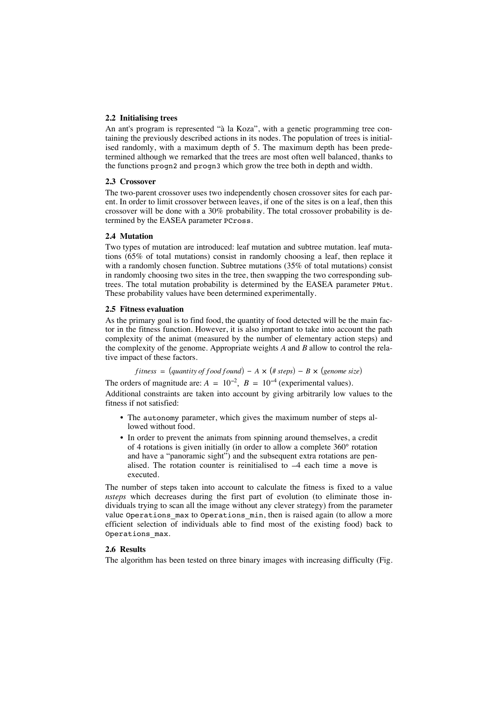#### **2.2 Initialising trees**

An ant's program is represented "à la Koza", with a genetic programming tree containing the previously described actions in its nodes. The population of trees is initialised randomly, with a maximum depth of 5. The maximum depth has been predetermined although we remarked that the trees are most often well balanced, thanks to the functions progn2 and progn3 which grow the tree both in depth and width.

#### **2.3 Crossover**

The two-parent crossover uses two independently chosen crossover sites for each parent. In order to limit crossover between leaves, if one of the sites is on a leaf, then this crossover will be done with a 30% probability. The total crossover probability is determined by the EASEA parameter PCross.

#### **2.4 Mutation**

Two types of mutation are introduced: leaf mutation and subtree mutation. leaf mutations (65% of total mutations) consist in randomly choosing a leaf, then replace it with a randomly chosen function. Subtree mutations (35% of total mutations) consist in randomly choosing two sites in the tree, then swapping the two corresponding subtrees. The total mutation probability is determined by the EASEA parameter PMut. These probability values have been determined experimentally.

#### **2.5 Fitness evaluation**

As the primary goal is to find food, the quantity of food detected will be the main factor in the fitness function. However, it is also important to take into account the path complexity of the animat (measured by the number of elementary action steps) and the complexity of the genome. Appropriate weights A and B allow to control the relative impact of these factors.

*fitness* = (*quantity of food found*)  $-A \times (\text{\# steps}) - B \times (\text{\text{genome size}})$ 

The orders of magnitude are:  $A = 10^{-2}$ ,  $B = 10^{-4}$  (experimental values).

Additional constraints are taken into account by giving arbitrarily low values to the fitness if not satisfied:

- The autonomy parameter, which gives the maximum number of steps allowed without food.
- In order to prevent the animats from spinning around themselves, a credit of 4 rotations is given initially (in order to allow a complete 360° rotation and have a "panoramic sight") and the subsequent extra rotations are penalised. The rotation counter is reinitialised to  $-4$  each time a move is executed.

The number of steps taken into account to calculate the fitness is fixed to a value nsteps which decreases during the first part of evolution (to eliminate those individuals trying to scan all the image without any clever strategy) from the parameter value Operations max to Operations min, then is raised again (to allow a more efficient selection of individuals able to find most of the existing food) back to Operations\_max.

#### **2.6 Results**

The algorithm has been tested on three binary images with increasing difficulty (Fig.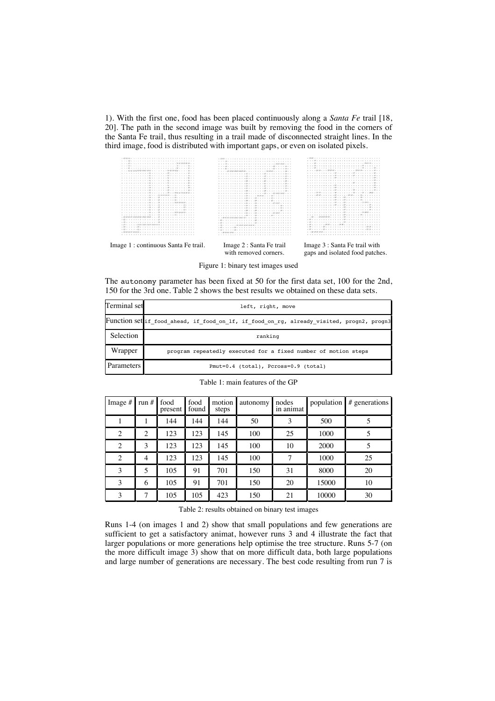1). With the first one, food has been placed continuously along a *Santa Fe* trail [18, 20]. The path in the second image was built by removing the food in the corners of the Santa Fe trail, thus resulting in a trail made of disconnected straight lines. In the third image, food is distributed with important gaps, or even on isolated pixels.



Figure 1: binary test images used

The autonomy parameter has been fixed at 50 for the first data set, 100 for the 2nd, 150 for the 3rd one. Table 2 shows the best results we obtained on these data sets.

| Terminal set | left, right, move                                                                         |
|--------------|-------------------------------------------------------------------------------------------|
|              | Function set if food ahead, if_food_on_1f, if_food_on_rg, already_visited, progn2, progn3 |
| Selection    | ranking                                                                                   |
| Wrapper      | program repeatedly executed for a fixed number of motion steps                            |
| Parameters   | Pmut=0.4 (total), Pcross=0.9 (total)                                                      |

| Image $#$      | run $#$        | food<br>present | food<br>found | motion<br>steps | autonomy | nodes<br>in animat | population | # generations |
|----------------|----------------|-----------------|---------------|-----------------|----------|--------------------|------------|---------------|
|                |                | 144             | 144           | 144             | 50       | 3                  | 500        |               |
| $\overline{2}$ | 2              | 123             | 123           | 145             | 100      | 25                 | 1000       | 5             |
| $\overline{2}$ | 3              | 123             | 123           | 145             | 100      | 10                 | 2000       | 5             |
| $\overline{2}$ | $\overline{4}$ | 123             | 123           | 145             | 100      | 7                  | 1000       | 25            |
| 3              | 5              | 105             | 91            | 701             | 150      | 31                 | 8000       | 20            |
| 3              | 6              | 105             | 91            | 701             | 150      | 20                 | 15000      | 10            |
| 3              | 7              | 105             | 105           | 423             | 150      | 21                 | 10000      | 30            |

Table 1: main features of the GP

Table 2: results obtained on binary test images

Runs 1-4 (on images 1 and 2) show that small populations and few generations are sufficient to get a satisfactory animat, however runs 3 and 4 illustrate the fact that larger populations or more generations help optimise the tree structure. Runs 5-7 (on the more difficult image 3) show that on more difficult data, both large populations and large number of generations are necessary. The best code resulting from run 7 is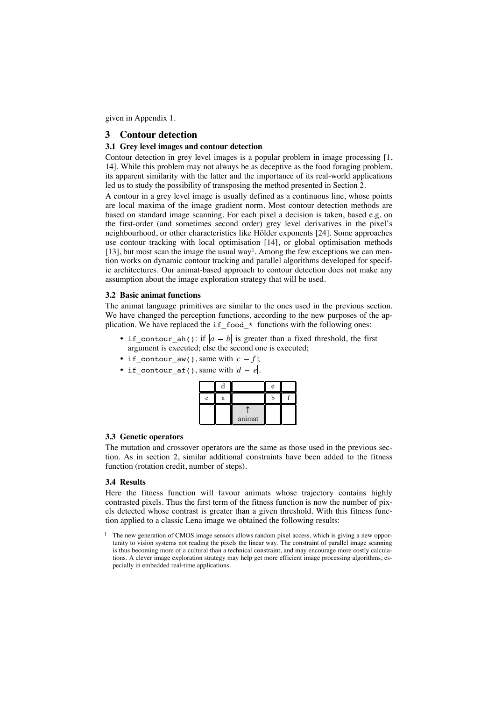given in Appendix 1.

#### **3 Contour detection**

#### **3.1 Grey level images and contour detection**

Contour detection in grey level images is a popular problem in image processing [1, 14]. While this problem may not always be as deceptive as the food foraging problem, its apparent similarity with the latter and the importance of its real-world applications led us to study the possibility of transposing the method presented in Section 2.

A contour in a grey level image is usually defined as a continuous line, whose points are local maxima of the image gradient norm. Most contour detection methods are based on standard image scanning. For each pixel a decision is taken, based e.g. on the first-order (and sometimes second order) grey level derivatives in the pixel's neighbourhood, or other characteristics like Hölder exponents [24]. Some approaches use contour tracking with local optimisation [14], or global optimisation methods [13], but most scan the image the usual way<sup>1</sup>. Among the few exceptions we can mention works on dynamic contour tracking and parallel algorithms developed for specific architectures. Our animat-based approach to contour detection does not make any assumption about the image exploration strategy that will be used.

#### **3.2 Basic animat functions**

The animat language primitives are similar to the ones used in the previous section. We have changed the perception functions, according to the new purposes of the application. We have replaced the if food  $*$  functions with the following ones:

- if\_contour\_ah(): if  $|a b|$  is greater than a fixed threshold, the first argument is executed; else the second one is executed;
- if contour aw(), same with  $|c f|$ ;
- if contour  $af()$ , same with  $d e$ .

|   |   |        | e |  |
|---|---|--------|---|--|
| c | a |        |   |  |
|   |   | animat |   |  |

#### **3.3 Genetic operators**

The mutation and crossover operators are the same as those used in the previous section. As in section 2, similar additional constraints have been added to the fitness function (rotation credit, number of steps).

#### **3.4 Results**

Here the fitness function will favour animats whose trajectory contains highly contrasted pixels. Thus the first term of the fitness function is now the number of pixels detected whose contrast is greater than a given threshold. With this fitness function applied to a classic Lena image we obtained the following results:

<sup>1</sup> The new generation of CMOS image sensors allows random pixel access, which is giving a new opportunity to vision systems not reading the pixels the linear way. The constraint of parallel image scanning is thus becoming more of a cultural than a technical constraint, and may encourage more costly calculations. A clever image exploration strategy may help get more efficient image processing algorithms, especially in embedded real-time applications.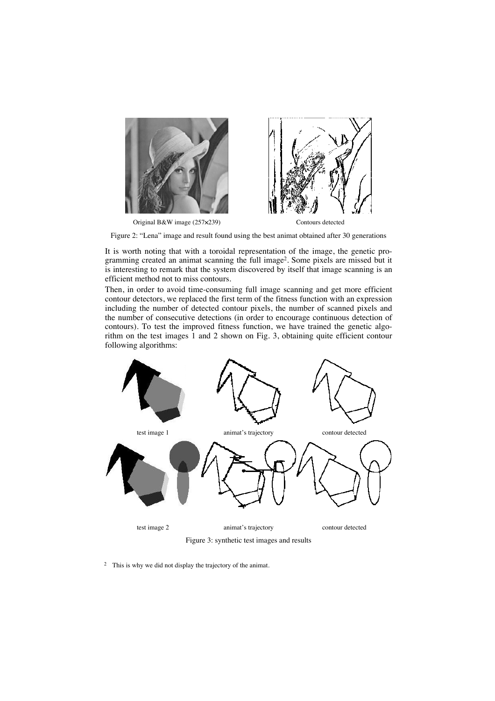

Figure 2: "Lena" image and result found using the best animat obtained after 30 generations

It is worth noting that with a toroidal representation of the image, the genetic programming created an animat scanning the full image2. Some pixels are missed but it is interesting to remark that the system discovered by itself that image scanning is an efficient method not to miss contours.

Then, in order to avoid time-consuming full image scanning and get more efficient contour detectors, we replaced the first term of the fitness function with an expression including the number of detected contour pixels, the number of scanned pixels and the number of consecutive detections (in order to encourage continuous detection of contours). To test the improved fitness function, we have trained the genetic algorithm on the test images 1 and 2 shown on Fig. 3, obtaining quite efficient contour following algorithms:



Figure 3: synthetic test images and results

2 This is why we did not display the trajectory of the animat.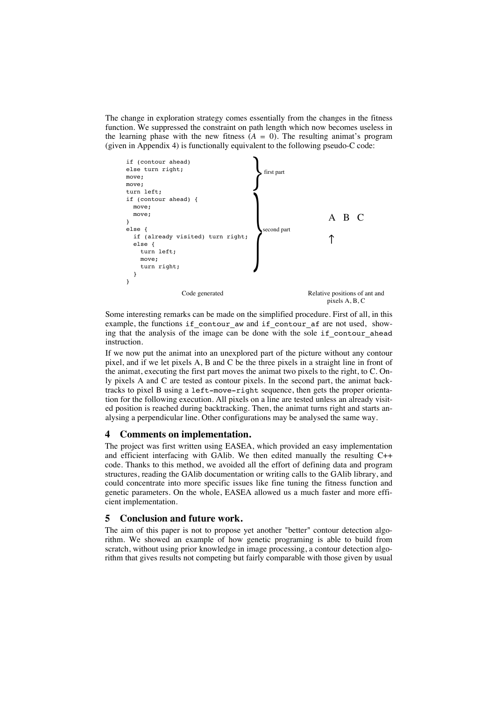The change in exploration strategy comes essentially from the changes in the fitness function. We suppressed the constraint on path length which now becomes useless in the learning phase with the new fitness  $(A = 0)$ . The resulting animat's program (given in Appendix 4) is functionally equivalent to the following pseudo-C code:



Some interesting remarks can be made on the simplified procedure. First of all, in this example, the functions if contour aw and if contour af are not used, showing that the analysis of the image can be done with the sole if contour ahead instruction.

If we now put the animat into an unexplored part of the picture without any contour pixel, and if we let pixels A, B and C be the three pixels in a straight line in front of the animat, executing the first part moves the animat two pixels to the right, to C. Only pixels A and C are tested as contour pixels. In the second part, the animat backtracks to pixel B using a left-move-right sequence, then gets the proper orientation for the following execution. All pixels on a line are tested unless an already visited position is reached during backtracking. Then, the animat turns right and starts analysing a perpendicular line. Other configurations may be analysed the same way.

#### **4 Comments on implementation.**

The project was first written using EASEA, which provided an easy implementation and efficient interfacing with GAlib. We then edited manually the resulting C++ code. Thanks to this method, we avoided all the effort of defining data and program structures, reading the GAlib documentation or writing calls to the GAlib library, and could concentrate into more specific issues like fine tuning the fitness function and genetic parameters. On the whole, EASEA allowed us a much faster and more efficient implementation.

#### **5 Conclusion and future work.**

The aim of this paper is not to propose yet another "better" contour detection algorithm. We showed an example of how genetic programing is able to build from scratch, without using prior knowledge in image processing, a contour detection algorithm that gives results not competing but fairly comparable with those given by usual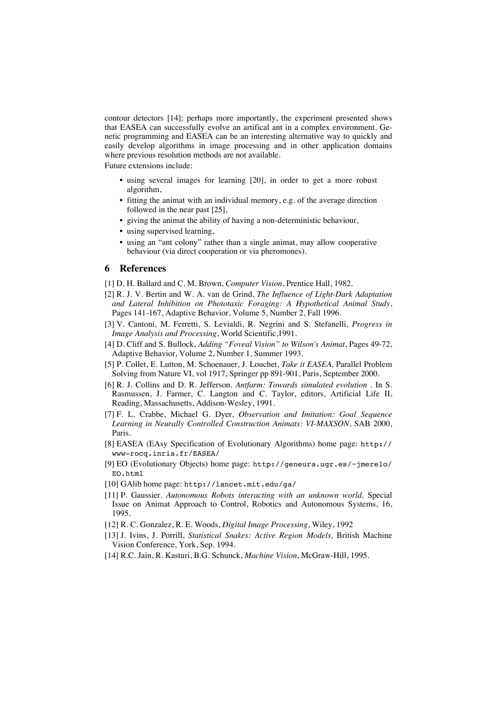contour detectors [14]; perhaps more importantly, the experiment presented shows that EASEA can successfully evolve an artifical ant in a complex environment. Genetic programming and EASEA can be an interesting alternative way to quickly and easily develop algorithms in image processing and in other application domains where previous resolution methods are not available.

Future extensions include:

- using several images for learning [20], in order to get a more robust algorithm,
- fitting the animat with an individual memory, e.g. of the average direction followed in the near past [25],
- giving the animat the ability of having a non-deterministic behaviour,
- using supervised learning,
- using an "ant colony" rather than a single animat, may allow cooperative behaviour (via direct cooperation or via pheromones).

#### **6 References**

[1] D. H. Ballard and C. M. Brown, *Computer Vision*, Prentice Hall, 1982.

- [2] R. J. V. Bertin and W. A. van de Grind, *The Influence of Light-Dark Adaptation and Lateral Inhibition on Phototaxic Foraging: A Hypothetical Animal Study*, Pages 141-167, Adaptive Behavior, Volume 5, Number 2, Fall 1996.
- [3] V. Cantoni, M. Ferretti, S. Levialdi, R. Negrini and S. Stefanelli, *Progress in Image Analysis and Processing*, World Scientific,1991.
- [4] D. Cliff and S. Bullock, *Adding "Foveal Vision" to Wilson's Animat*, Pages 49-72, Adaptive Behavior, Volume 2, Number 1, Summer 1993.
- [5] P. Collet, E. Lutton, M. Schoenauer, J. Louchet, *Take it EASEA,* Parallel Problem Solving from Nature VI, vol 1917, Springer pp 891-901, Paris, September 2000.
- [6] R. J. Collins and D. R. Jefferson. *Antfarm: Towards simulated evolution* . In S. Rasmussen, J. Farmer, C. Langton and C. Taylor, editors, Artificial Life II, Reading, Massachusetts, Addison-Wesley, 1991.
- [7] F. L. Crabbe, Michael G. Dyer, *Observation and Imitation: Goal Sequence Learning in Neurally Controlled Construction Animats: VI-MAXSON*, SAB 2000, Paris.
- [8] EASEA (EAsy Specification of Evolutionary Algorithms) home page: http:// www-rocq.inria.fr/EASEA/
- [9] EO (Evolutionary Objects) home page: http://geneura.ugr.es/~jmerelo/ EO.html
- [10] GAlib home page: http://lancet.mit.edu/ga/
- [11] P. Gaussier. *Autonomous Robots interacting with an unknown world,* Special Issue on Animat Approach to Control, Robotics and Autonomous Systems, 16, 1995.
- [12] R. C. Gonzalez, R. E. Woods, *Digital Image Processing*, Wiley, 1992
- [13] J. Ivins, J. Porrill, *Statistical Snakes: Active Region Models,* British Machine Vision Conference, York, Sep. 1994.
- [14] R.C. Jain, R. Kasturi, B.G. Schunck, *Machine Vision*, McGraw-Hill, 1995.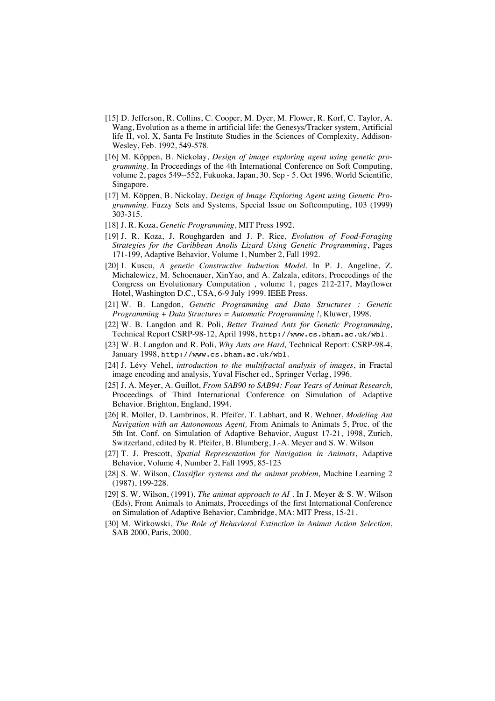- [15] D. Jefferson, R. Collins, C. Cooper, M. Dyer, M. Flower, R. Korf, C. Taylor, A. Wang, Evolution as a theme in artificial life: the Genesys/Tracker system, Artificial life II, vol. X, Santa Fe Institute Studies in the Sciences of Complexity, Addison-Wesley, Feb. 1992, 549-578.
- [16] M. Köppen, B. Nickolay, *Design of image exploring agent using genetic programming.* In Proceedings of the 4th International Conference on Soft Computing, volume 2, pages 549--552, Fukuoka, Japan, 30. Sep - 5. Oct 1996. World Scientific, Singapore.
- [17] M. Köppen, B. Nickolay, *Design of Image Exploring Agent using Genetic Programming*. Fuzzy Sets and Systems, Special Issue on Softcomputing, 103 (1999) 303-315.
- [18] J. R. Koza, *Genetic Programming*, MIT Press 1992.
- [19] J. R. Koza, J. Roughgarden and J. P. Rice, *Evolution of Food-Foraging Strategies for the Caribbean Anolis Lizard Using Genetic Programming*, Pages 171-199, Adaptive Behavior, Volume 1, Number 2, Fall 1992.
- [20] I. Kuscu, *A genetic Constructive Induction Model*. In P. J. Angeline, Z. Michalewicz, M. Schoenauer, XinYao, and A. Zalzala, editors, Proceedings of the Congress on Evolutionary Computation , volume 1, pages 212-217, Mayflower Hotel, Washington D.C., USA, 6-9 July 1999. IEEE Press.
- [21] W. B. Langdon, *Genetic Programming and Data Structures : Genetic Programming + Data Structures = Automatic Programming !*, Kluwer, 1998.
- [22] W. B. Langdon and R. Poli, *Better Trained Ants for Genetic Programming,* Technical Report CSRP-98-12, April 1998, http://www.cs.bham.ac.uk/wbl.
- [23] W. B. Langdon and R. Poli, *Why Ants are Hard,* Technical Report: CSRP-98-4, January 1998, http://www.cs.bham.ac.uk/wbl.
- [24] J. Lévy Vehel, *introduction to the multifractal analysis of images*, in Fractal image encoding and analysis, Yuval Fischer ed., Springer Verlag, 1996.
- [25] J. A. Meyer, A. Guillot, *From SAB90 to SAB94: Four Years of Animat Research,* Proceedings of Third International Conference on Simulation of Adaptive Behavior. Brighton, England, 1994.
- [26] R. Moller, D. Lambrinos, R. Pfeifer, T. Labhart, and R. Wehner, *Modeling Ant Navigation with an Autonomous Agent,* From Animals to Animats 5, Proc. of the 5th Int. Conf. on Simulation of Adaptive Behavior, August 17-21, 1998, Zurich, Switzerland, edited by R. Pfeifer, B. Blumberg, J.-A. Meyer and S. W. Wilson
- [27] T. J. Prescott, *Spatial Representation for Navigation in Animats*, Adaptive Behavior, Volume 4, Number 2, Fall 1995, 85-123
- [28] S. W. Wilson, *Classifier systems and the animat problem,* Machine Learning 2 (1987), 199-228.
- [29] S. W. Wilson, (1991). *The animat approach to AI* . In J. Meyer & S. W. Wilson (Eds), From Animals to Animats, Proceedings of the first International Conference on Simulation of Adaptive Behavior, Cambridge, MA: MIT Press, 15-21.
- [30] M. Witkowski, *The Role of Behavioral Extinction in Animat Action Selection*, SAB 2000, Paris, 2000.